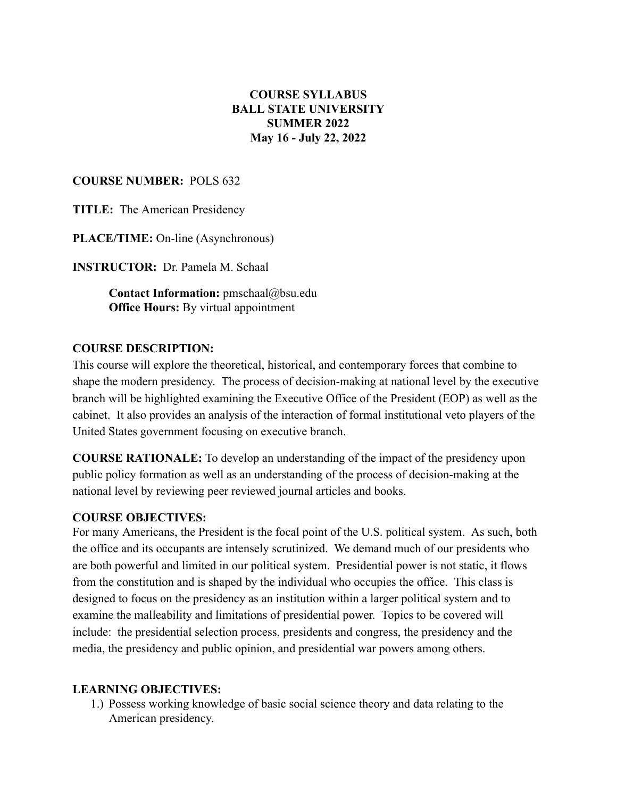## **COURSE SYLLABUS BALL STATE UNIVERSITY SUMMER 2022 May 16 - July 22, 2022**

#### **COURSE NUMBER:** POLS 632

**TITLE:** The American Presidency

**PLACE/TIME:** On-line (Asynchronous)

**INSTRUCTOR:** Dr. Pamela M. Schaal

**Contact Information:** pmschaal@bsu.edu **Office Hours:** By virtual appointment

#### **COURSE DESCRIPTION:**

This course will explore the theoretical, historical, and contemporary forces that combine to shape the modern presidency. The process of decision-making at national level by the executive branch will be highlighted examining the Executive Office of the President (EOP) as well as the cabinet. It also provides an analysis of the interaction of formal institutional veto players of the United States government focusing on executive branch.

**COURSE RATIONALE:** To develop an understanding of the impact of the presidency upon public policy formation as well as an understanding of the process of decision-making at the national level by reviewing peer reviewed journal articles and books.

#### **COURSE OBJECTIVES:**

For many Americans, the President is the focal point of the U.S. political system. As such, both the office and its occupants are intensely scrutinized. We demand much of our presidents who are both powerful and limited in our political system. Presidential power is not static, it flows from the constitution and is shaped by the individual who occupies the office. This class is designed to focus on the presidency as an institution within a larger political system and to examine the malleability and limitations of presidential power. Topics to be covered will include: the presidential selection process, presidents and congress, the presidency and the media, the presidency and public opinion, and presidential war powers among others.

#### **LEARNING OBJECTIVES:**

1.) Possess working knowledge of basic social science theory and data relating to the American presidency.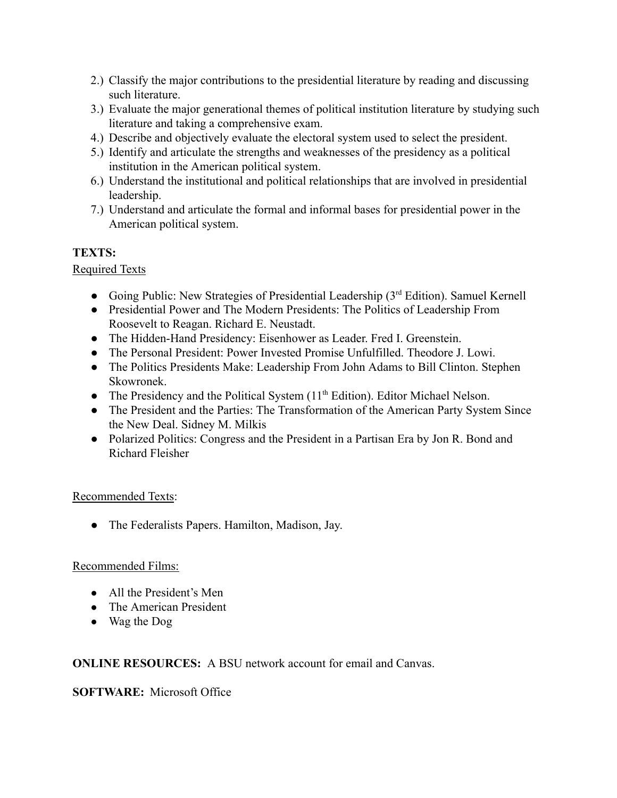- 2.) Classify the major contributions to the presidential literature by reading and discussing such literature.
- 3.) Evaluate the major generational themes of political institution literature by studying such literature and taking a comprehensive exam.
- 4.) Describe and objectively evaluate the electoral system used to select the president.
- 5.) Identify and articulate the strengths and weaknesses of the presidency as a political institution in the American political system.
- 6.) Understand the institutional and political relationships that are involved in presidential leadership.
- 7.) Understand and articulate the formal and informal bases for presidential power in the American political system.

# **TEXTS:**

## Required Texts

- Going Public: New Strategies of Presidential Leadership  $(3<sup>rd</sup> Edition)$ . Samuel Kernell
- Presidential Power and The Modern Presidents: The Politics of Leadership From Roosevelt to Reagan. Richard E. Neustadt.
- The Hidden-Hand Presidency: Eisenhower as Leader. Fred I. Greenstein.
- The Personal President: Power Invested Promise Unfulfilled. Theodore J. Lowi.
- The Politics Presidents Make: Leadership From John Adams to Bill Clinton. Stephen Skowronek.
- The Presidency and the Political System (11<sup>th</sup> Edition). Editor Michael Nelson.
- The President and the Parties: The Transformation of the American Party System Since the New Deal. Sidney M. Milkis
- Polarized Politics: Congress and the President in a Partisan Era by Jon R. Bond and Richard Fleisher

## Recommended Texts:

● The Federalists Papers. Hamilton, Madison, Jay.

## Recommended Films:

- All the President's Men
- The American President
- Wag the Dog

## **ONLINE RESOURCES:** A BSU network account for email and Canvas.

## **SOFTWARE:** Microsoft Office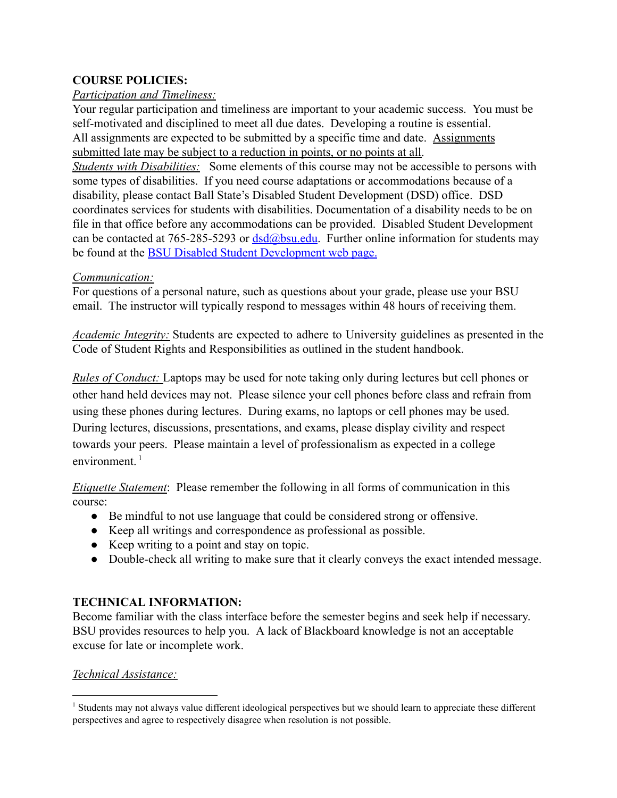### **COURSE POLICIES:**

#### *Participation and Timeliness:*

Your regular participation and timeliness are important to your academic success. You must be self-motivated and disciplined to meet all due dates. Developing a routine is essential. All assignments are expected to be submitted by a specific time and date. Assignments submitted late may be subject to a reduction in points, or no points at all. *Students with Disabilities:* Some elements of this course may not be accessible to persons with some types of disabilities. If you need course adaptations or accommodations because of a

disability, please contact Ball State's Disabled Student Development (DSD) office. DSD coordinates services for students with disabilities. Documentation of a disability needs to be on file in that office before any accommodations can be provided. Disabled Student Development can be contacted at 765-285-5293 or  $dsd(\omega)$ bsu.edu. Further online information for students may be found at the [BSU Disabled Student Development web](https://blackboard.bsu.edu/webapps/portal/frameset.jsp?tabGroup=courses&url=%2Fwebapps%2Fblackboard%2Fcontent%2FcontentWrapper.jsp%3Fcontent_id%3D_1290465_1%26displayName%3DLinked%2BFile%26course_id%3D_41603_1%26navItem%3Dcontent%26attachment%3Dtrue%26href%3Dhttp%253A%252F%252Fcms.bsu.edu%252FAbout%252FAdministrativeOffices%252FDSD%252FPoliciesProcedures%252FDistance%252FStudentInfo.aspx) page.

#### *Communication:*

For questions of a personal nature, such as questions about your grade, please use your BSU email. The instructor will typically respond to messages within 48 hours of receiving them.

*Academic Integrity:* Students are expected to adhere to University guidelines as presented in the Code of Student Rights and Responsibilities as outlined in the student handbook.

*Rules of Conduct:* Laptops may be used for note taking only during lectures but cell phones or other hand held devices may not. Please silence your cell phones before class and refrain from using these phones during lectures. During exams, no laptops or cell phones may be used. During lectures, discussions, presentations, and exams, please display civility and respect towards your peers. Please maintain a level of professionalism as expected in a college environment. $1$ 

*Etiquette Statement*: Please remember the following in all forms of communication in this course:

- Be mindful to not use language that could be considered strong or offensive.
- Keep all writings and correspondence as professional as possible.
- Keep writing to a point and stay on topic.
- Double-check all writing to make sure that it clearly conveys the exact intended message.

## **TECHNICAL INFORMATION:**

Become familiar with the class interface before the semester begins and seek help if necessary. BSU provides resources to help you. A lack of Blackboard knowledge is not an acceptable excuse for late or incomplete work.

#### *Technical Assistance:*

<sup>&</sup>lt;sup>1</sup> Students may not always value different ideological perspectives but we should learn to appreciate these different perspectives and agree to respectively disagree when resolution is not possible.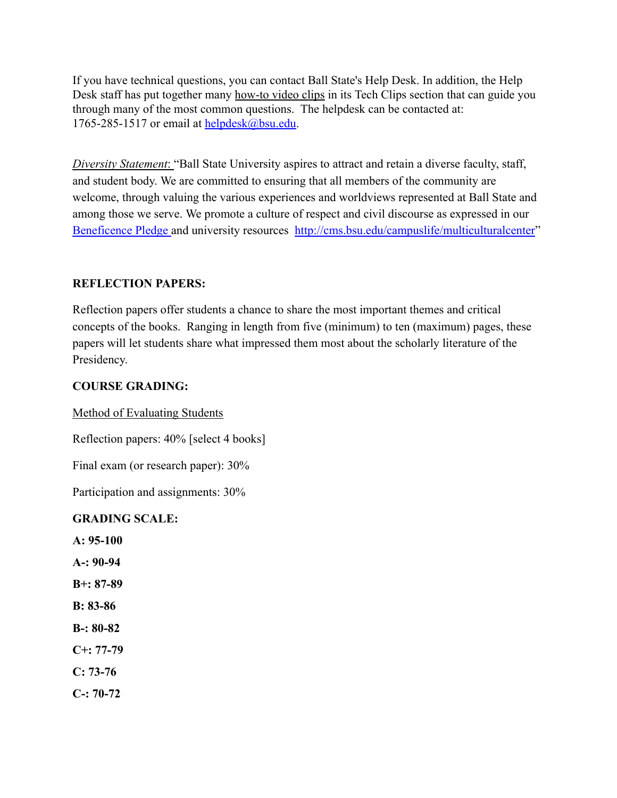If you have technical questions, you can contact Ball State's Help Desk. In addition, the Help Desk staff has put together many [how-to video clips](http://cms.bsu.edu/About/AdministrativeOffices/HelpDesk/TechClips.aspx) in its Tech Clips section that can guide you through many of the most common questions. The helpdesk can be contacted at: 1765-285-1517 or email at helpdesk $@$ bsu.edu.

*Diversity Statement*: "Ball State University aspires to attract and retain a diverse faculty, staff, and student body. We are committed to ensuring that all members of the community are welcome, through valuing the various experiences and worldviews represented at Ball State and among those we serve. We promote a culture of respect and civil discourse as expressed in our [Beneficence Pledge](http://cms.bsu.edu/about/administrativeoffices/studentrights/policiesandprocedures/beneficence) and university resources <http://cms.bsu.edu/campuslife/multiculturalcenter>"

#### **REFLECTION PAPERS:**

Reflection papers offer students a chance to share the most important themes and critical concepts of the books. Ranging in length from five (minimum) to ten (maximum) pages, these papers will let students share what impressed them most about the scholarly literature of the Presidency.

### **COURSE GRADING:**

Method of Evaluating Students

Reflection papers: 40% [select 4 books]

Final exam (or research paper): 30%

Participation and assignments: 30%

#### **GRADING SCALE:**

**A: 95-100**

- **A-: 90-94**
- **B+: 87-89**
- **B: 83-86**
- **B-: 80-82**
- **C+: 77-79**
- **C: 73-76**
- **C-: 70-72**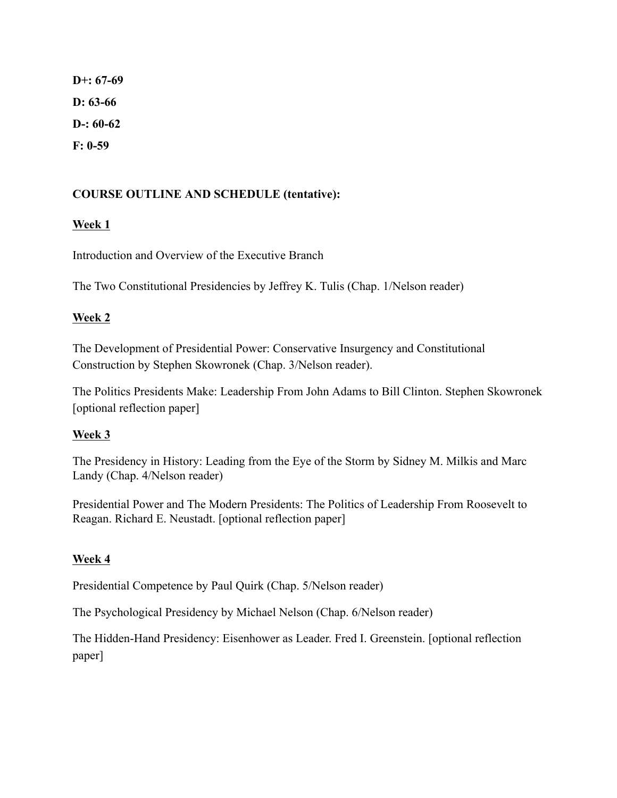**D+: 67-69 D: 63-66 D-: 60-62 F: 0-59**

## **COURSE OUTLINE AND SCHEDULE (tentative):**

### **Week 1**

Introduction and Overview of the Executive Branch

The Two Constitutional Presidencies by Jeffrey K. Tulis (Chap. 1/Nelson reader)

### **Week 2**

The Development of Presidential Power: Conservative Insurgency and Constitutional Construction by Stephen Skowronek (Chap. 3/Nelson reader).

The Politics Presidents Make: Leadership From John Adams to Bill Clinton. Stephen Skowronek [optional reflection paper]

## **Week 3**

The Presidency in History: Leading from the Eye of the Storm by Sidney M. Milkis and Marc Landy (Chap. 4/Nelson reader)

Presidential Power and The Modern Presidents: The Politics of Leadership From Roosevelt to Reagan. Richard E. Neustadt. [optional reflection paper]

## **Week 4**

Presidential Competence by Paul Quirk (Chap. 5/Nelson reader)

The Psychological Presidency by Michael Nelson (Chap. 6/Nelson reader)

The Hidden-Hand Presidency: Eisenhower as Leader. Fred I. Greenstein. [optional reflection paper]